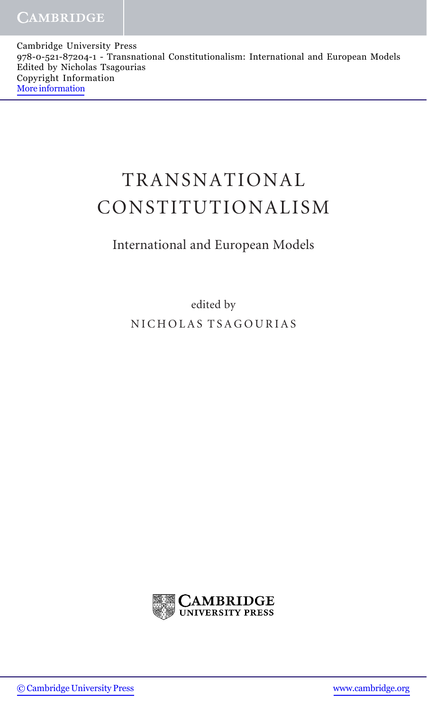Cambridge University Press 978-0-521-87204-1 - Transnational Constitutionalism: International and European Models Edited by Nicholas Tsagourias Copyright Information [More information](http://www.cambridge.org/0521872049)

## TRANSNATIONAL CONSTITUTIONALISM

## International and European Models

edited by NICHOLAS TSAGOURIAS